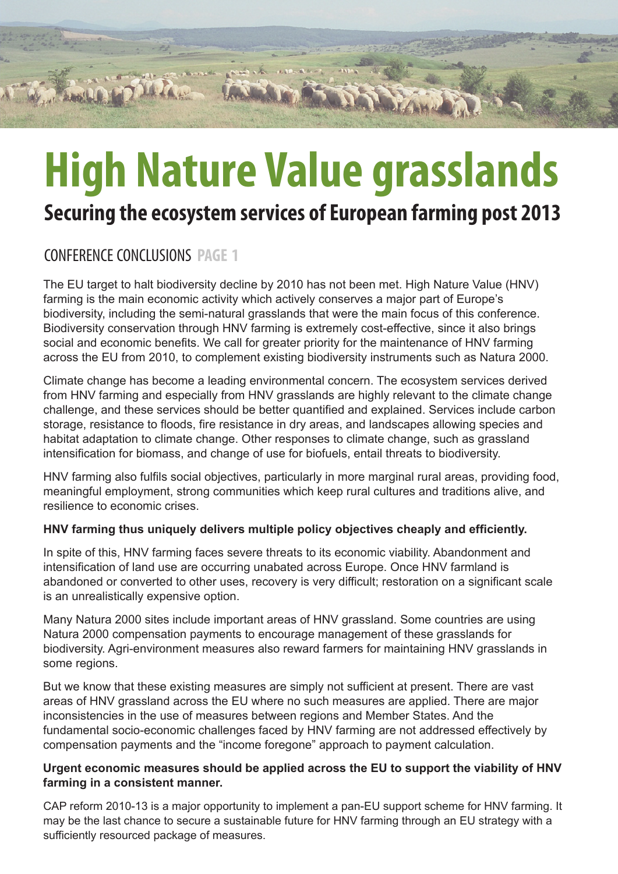# **High Nature Value grasslands**

## **Securing the ecosystem services of European farming post 2013**

## CONFERENCE CONCLUSIONS **PAGE 1**

The EU target to halt biodiversity decline by 2010 has not been met. High Nature Value (HNV) farming is the main economic activity which actively conserves a major part of Europe's biodiversity, including the semi-natural grasslands that were the main focus of this conference. Biodiversity conservation through HNV farming is extremely cost-effective, since it also brings social and economic benefits. We call for greater priority for the maintenance of HNV farming across the EU from 2010, to complement existing biodiversity instruments such as Natura 2000.

Climate change has become a leading environmental concern. The ecosystem services derived from HNV farming and especially from HNV grasslands are highly relevant to the climate change challenge, and these services should be better quantified and explained. Services include carbon storage, resistance to floods, fire resistance in dry areas, and landscapes allowing species and habitat adaptation to climate change. Other responses to climate change, such as grassland intensification for biomass, and change of use for biofuels, entail threats to biodiversity.

HNV farming also fulfils social objectives, particularly in more marginal rural areas, providing food, meaningful employment, strong communities which keep rural cultures and traditions alive, and resilience to economic crises.

#### **HNV farming thus uniquely delivers multiple policy objectives cheaply and efficiently.**

In spite of this, HNV farming faces severe threats to its economic viability. Abandonment and intensification of land use are occurring unabated across Europe. Once HNV farmland is abandoned or converted to other uses, recovery is very difficult; restoration on a significant scale is an unrealistically expensive option.

Many Natura 2000 sites include important areas of HNV grassland. Some countries are using Natura 2000 compensation payments to encourage management of these grasslands for biodiversity. Agri-environment measures also reward farmers for maintaining HNV grasslands in some regions.

But we know that these existing measures are simply not sufficient at present. There are vast areas of HNV grassland across the EU where no such measures are applied. There are major inconsistencies in the use of measures between regions and Member States. And the fundamental socio-economic challenges faced by HNV farming are not addressed effectively by compensation payments and the "income foregone" approach to payment calculation.

#### **Urgent economic measures should be applied across the EU to support the viability of HNV farming in a consistent manner.**

CAP reform 2010-13 is a major opportunity to implement a pan-EU support scheme for HNV farming. It may be the last chance to secure a sustainable future for HNV farming through an EU strategy with a sufficiently resourced package of measures.